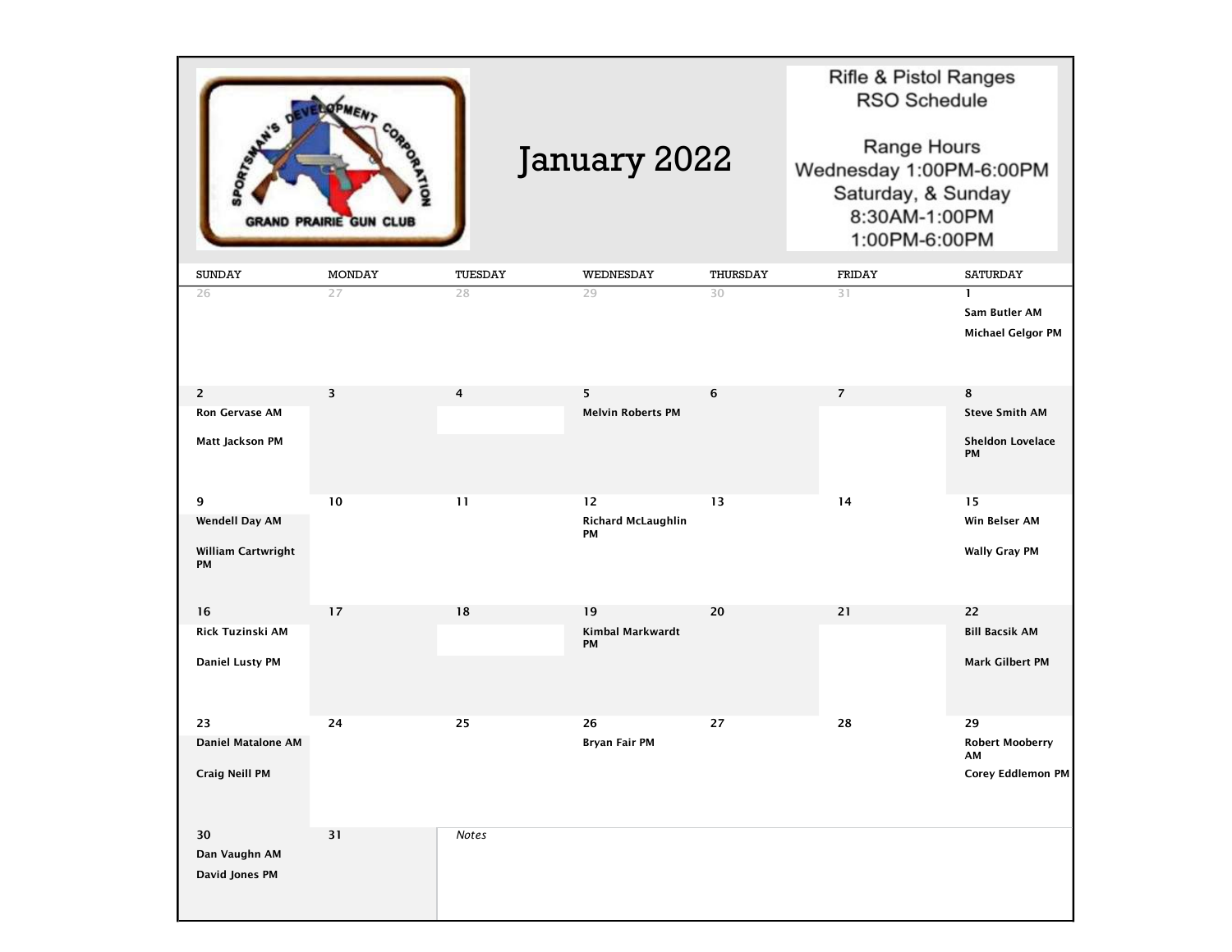|                                                          | <b>GRAND PRAIRIE GUN CLUB</b> |                | January 2022                    |          | Rifle & Pistol Ranges<br><b>RSO Schedule</b><br>Range Hours<br>Wednesday 1:00PM-6:00PM<br>Saturday, & Sunday<br>8:30AM-1:00PM<br>1:00PM-6:00PM |                                                           |
|----------------------------------------------------------|-------------------------------|----------------|---------------------------------|----------|------------------------------------------------------------------------------------------------------------------------------------------------|-----------------------------------------------------------|
| <b>SUNDAY</b>                                            | <b>MONDAY</b>                 | TUESDAY        | WEDNESDAY                       | THURSDAY | <b>FRIDAY</b>                                                                                                                                  | <b>SATURDAY</b>                                           |
| 26                                                       | 27                            | 28             | 29                              | 30       | 31                                                                                                                                             | $\mathbf{1}$<br>Sam Butler AM<br><b>Michael Gelgor PM</b> |
| $\overline{2}$                                           | 3                             | $\overline{4}$ | 5                               | 6        | $\overline{7}$                                                                                                                                 | 8                                                         |
| <b>Ron Gervase AM</b>                                    |                               |                | <b>Melvin Roberts PM</b>        |          |                                                                                                                                                | <b>Steve Smith AM</b>                                     |
| Matt Jackson PM                                          |                               |                |                                 |          |                                                                                                                                                | <b>Sheldon Lovelace</b><br>PM                             |
| 9                                                        | 10                            | 11             | 12                              | 13       | 14                                                                                                                                             | 15                                                        |
| <b>Wendell Day AM</b><br>William Cartwright<br><b>PM</b> |                               |                | <b>Richard McLaughlin</b><br>PM |          |                                                                                                                                                | Win Belser AM<br><b>Wally Gray PM</b>                     |
| 16                                                       | 17                            | 18             | 19                              | 20       | 21                                                                                                                                             | 22                                                        |
| Rick Tuzinski AM<br><b>Daniel Lusty PM</b>               |                               |                | Kimbal Markwardt<br>PM          |          |                                                                                                                                                | <b>Bill Bacsik AM</b><br><b>Mark Gilbert PM</b>           |
| 23                                                       | 24                            | 25             | 26                              | 27       | 28                                                                                                                                             | 29                                                        |
| <b>Daniel Matalone AM</b><br><b>Craig Neill PM</b>       |                               |                | Bryan Fair PM                   |          |                                                                                                                                                | <b>Robert Mooberry</b><br>AM<br>Corey Eddlemon PM         |
| 30<br>Dan Vaughn AM<br>David Jones PM                    | 31                            | <b>Notes</b>   |                                 |          |                                                                                                                                                |                                                           |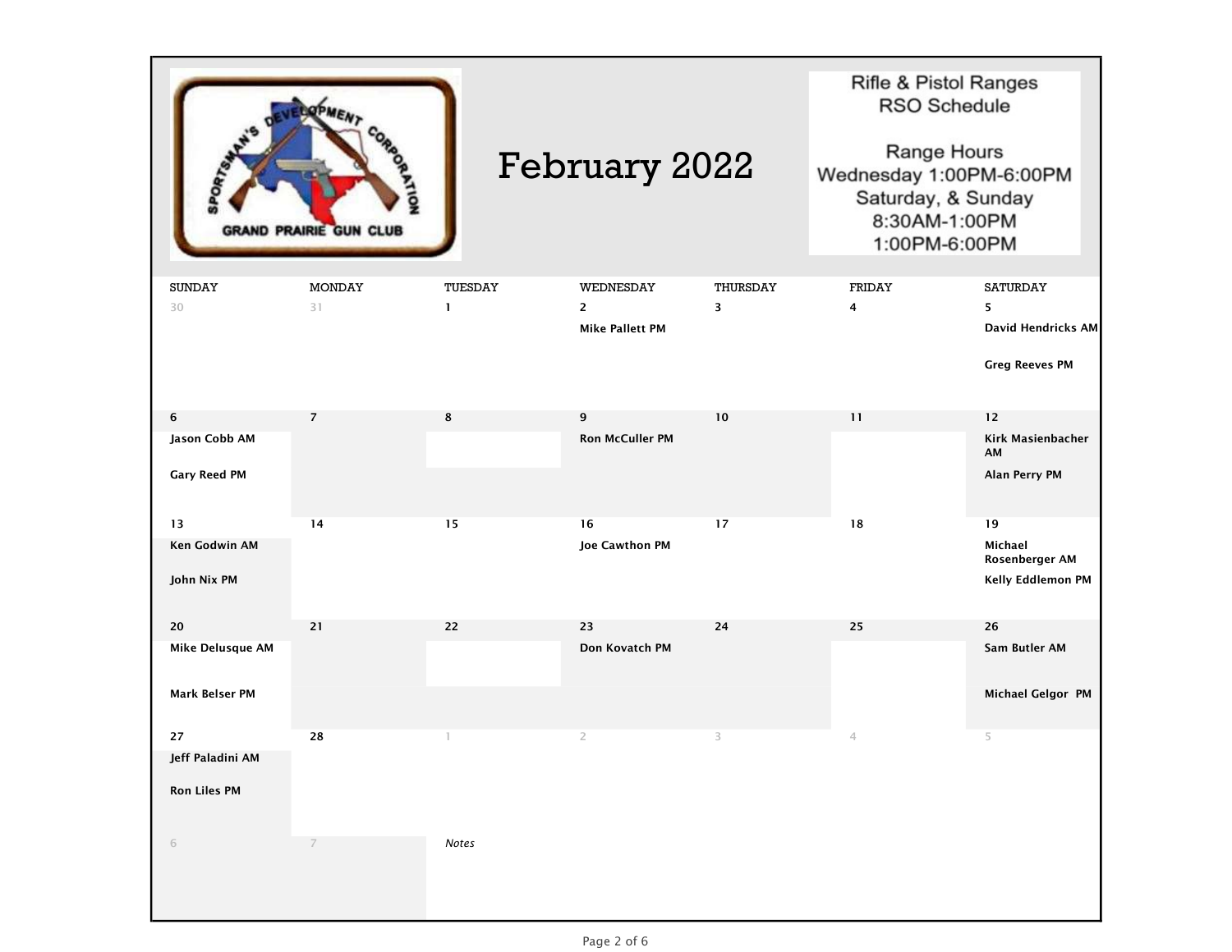| ND PRAIRIE GUN CLUB                             |                     | <b>February 2022</b>    |                                                       |               | Rifle & Pistol Ranges<br><b>RSO Schedule</b><br>Range Hours<br>Wednesday 1:00PM-6:00PM<br>Saturday, & Sunday<br>8:30AM-1:00PM<br>1:00PM-6:00PM |                                                                     |
|-------------------------------------------------|---------------------|-------------------------|-------------------------------------------------------|---------------|------------------------------------------------------------------------------------------------------------------------------------------------|---------------------------------------------------------------------|
| <b>SUNDAY</b><br>30                             | <b>MONDAY</b><br>31 | TUESDAY<br>$\mathbf{1}$ | WEDNESDAY<br>$\overline{2}$<br><b>Mike Pallett PM</b> | THURSDAY<br>3 | FRIDAY<br>4                                                                                                                                    | <b>SATURDAY</b><br>5<br>David Hendricks AM<br><b>Greg Reeves PM</b> |
| 6<br>Jason Cobb AM<br><b>Gary Reed PM</b>       | $\overline{7}$      | 8                       | 9<br><b>Ron McCuller PM</b>                           | 10            | 11                                                                                                                                             | 12<br>Kirk Masienbacher<br>AM<br>Alan Perry PM                      |
| 13<br><b>Ken Godwin AM</b><br>John Nix PM       | 14                  | 15                      | 16<br><b>Joe Cawthon PM</b>                           | 17            | 18                                                                                                                                             | 19<br>Michael<br>Rosenberger AM<br>Kelly Eddlemon PM                |
| 20<br>Mike Delusque AM<br><b>Mark Belser PM</b> | 21                  | 22                      | 23<br>Don Kovatch PM                                  | 24            | 25                                                                                                                                             | 26<br>Sam Butler AM<br>Michael Gelgor PM                            |
| 27<br>Jeff Paladini AM<br><b>Ron Liles PM</b>   | 28                  |                         | $\overline{2}$                                        | 3             | 4                                                                                                                                              | 5                                                                   |
| $\sqrt{6}$                                      | 7                   | Notes                   |                                                       |               |                                                                                                                                                |                                                                     |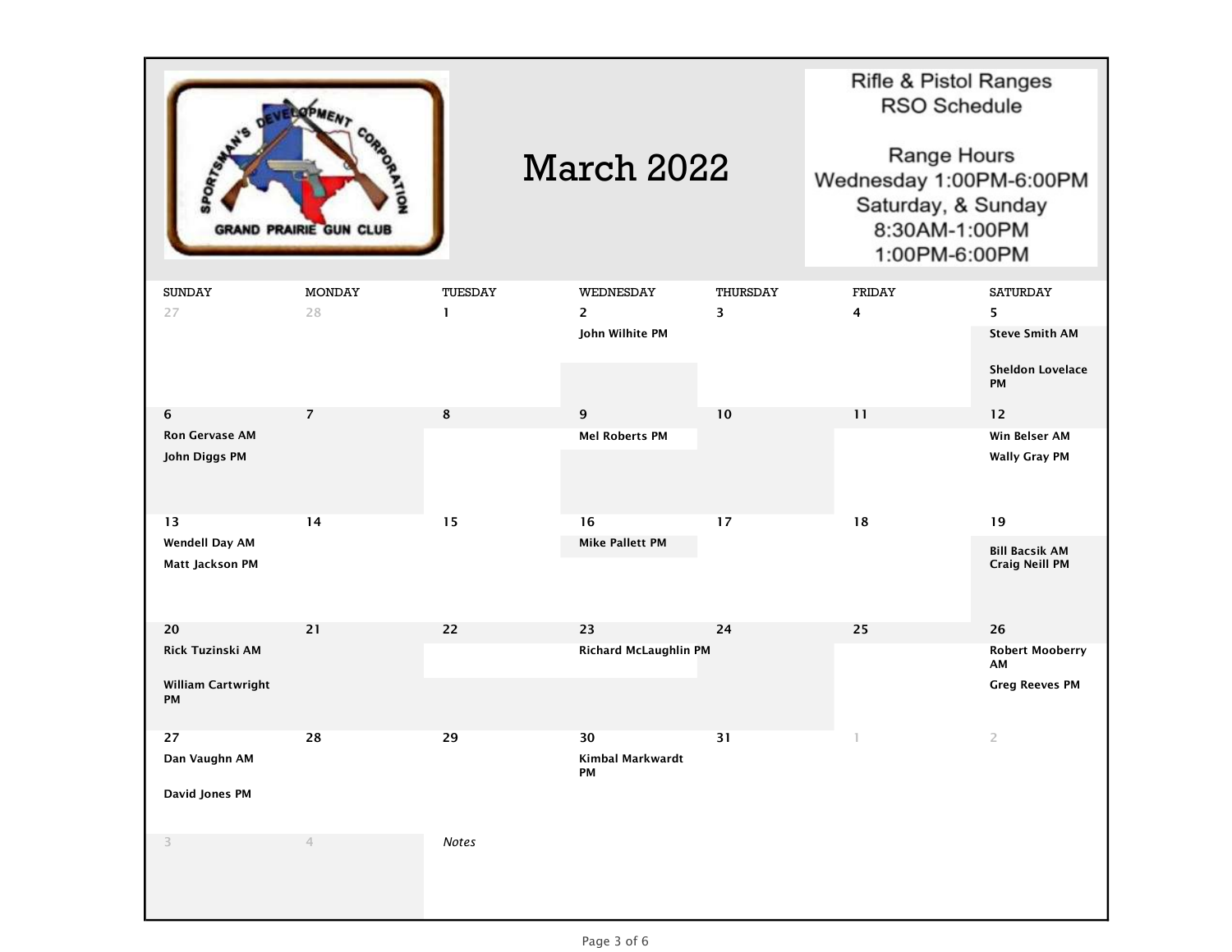

## March 2022

Rifle & Pistol Ranges **RSO Schedule** 

Range Hours Wednesday 1:00PM-6:00PM Saturday, & Sunday 8:30AM-1:00PM 1:00PM-6:00PM

| <b>SUNDAY</b>            | <b>MONDAY</b>  | TUESDAY      | WEDNESDAY              | THURSDAY | FRIDAY                  | SATURDAY                      |
|--------------------------|----------------|--------------|------------------------|----------|-------------------------|-------------------------------|
| 27                       | 28             | $\mathbf{1}$ | $\mathbf{2}$           | 3        | $\overline{\mathbf{4}}$ | 5                             |
|                          |                |              | John Wilhite PM        |          |                         | <b>Steve Smith AM</b>         |
|                          |                |              |                        |          |                         | <b>Sheldon Lovelace</b><br>PM |
| 6                        | $\overline{7}$ | $\bf8$       | $\boldsymbol{9}$       | $10\,$   | 11                      | $12$                          |
| <b>Ron Gervase AM</b>    |                |              | <b>Mel Roberts PM</b>  |          |                         | Win Belser AM                 |
| John Diggs PM            |                |              |                        |          |                         | <b>Wally Gray PM</b>          |
| 13                       | 14             | 15           | 16                     | 17       | 18                      | 19                            |
| <b>Wendell Day AM</b>    |                |              | <b>Mike Pallett PM</b> |          |                         | <b>Bill Bacsik AM</b>         |
| Matt Jackson PM          |                |              |                        |          |                         | <b>Craig Neill PM</b>         |
| 20                       | 21             | 22           | 23                     | 24       | 25                      | 26                            |
| Rick Tuzinski AM         |                |              | Richard McLaughlin PM  |          |                         | <b>Robert Mooberry</b><br>AM  |
| William Cartwright<br>PM |                |              |                        |          |                         | <b>Greg Reeves PM</b>         |
| 27                       | 28             | 29           | 30                     | 31       | $\mathbb{I}$            | $\overline{2}$                |
| Dan Vaughn AM            |                |              | Kimbal Markwardt<br>PM |          |                         |                               |
| David Jones PM           |                |              |                        |          |                         |                               |
| 3                        | $\overline{4}$ | Notes        |                        |          |                         |                               |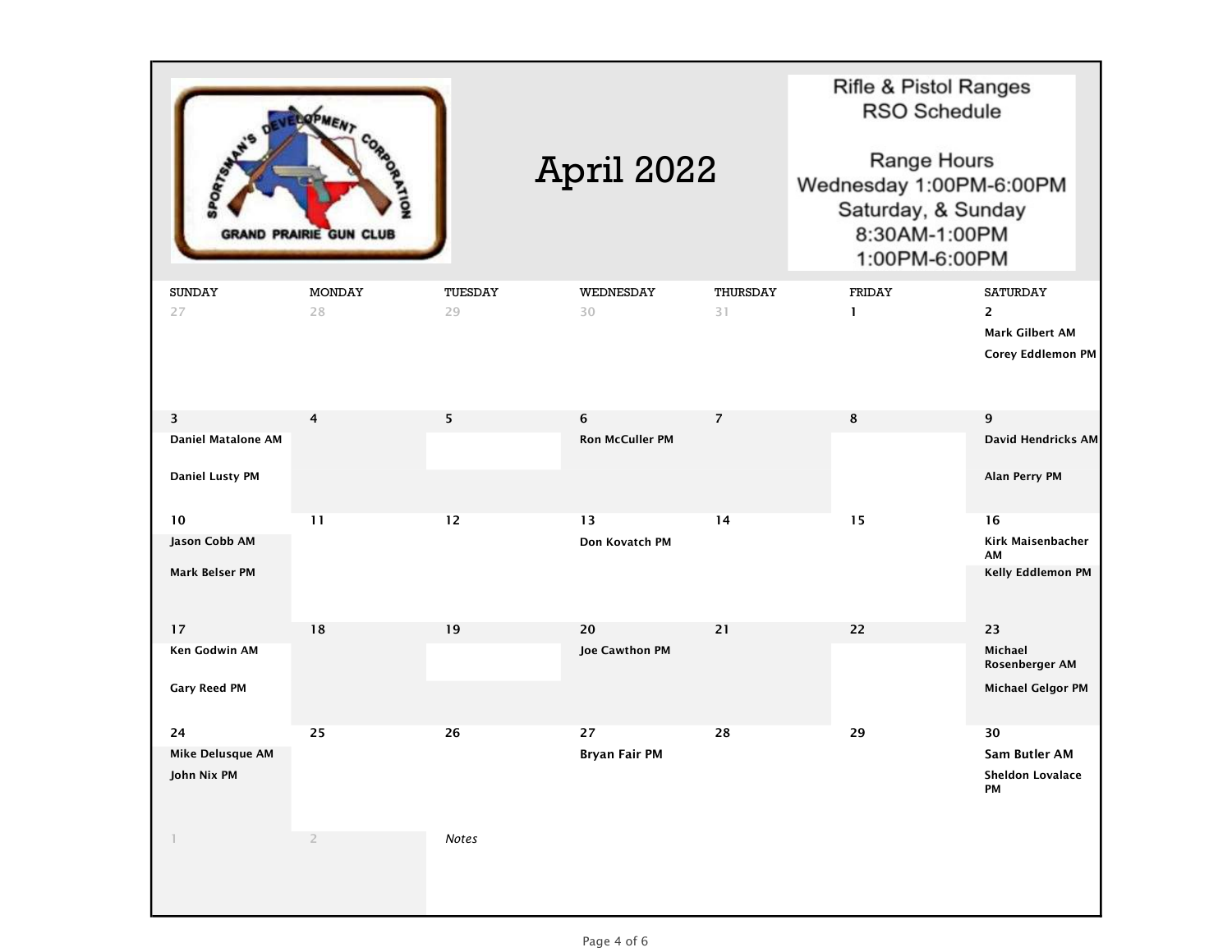

## **Rifle & Pistol Ranges RSO Schedule**

Range Hours Wednesday 1:00PM-6:00PM Saturday, & Sunday 8:30AM-1:00PM 1:00PM-6:00PM

| <b>SUNDAY</b>             | <b>MONDAY</b>  | TUESDAY | WEDNESDAY              | THURSDAY       | FRIDAY       | <b>SATURDAY</b>               |
|---------------------------|----------------|---------|------------------------|----------------|--------------|-------------------------------|
| 27                        | 28             | 29      | 30                     | 31             | $\mathbf{1}$ | $\overline{2}$                |
|                           |                |         |                        |                |              | <b>Mark Gilbert AM</b>        |
|                           |                |         |                        |                |              | Corey Eddlemon PM             |
|                           |                |         |                        |                |              |                               |
|                           |                |         |                        |                |              |                               |
| 3                         | 4              | 5       | 6                      | $\overline{7}$ | 8            | 9                             |
| <b>Daniel Matalone AM</b> |                |         | <b>Ron McCuller PM</b> |                |              | David Hendricks AM            |
| <b>Daniel Lusty PM</b>    |                |         |                        |                |              | Alan Perry PM                 |
| $10$                      | 11             | $12$    | 13                     | 14             | 15           | 16                            |
| Jason Cobb AM             |                |         | Don Kovatch PM         |                |              | Kirk Maisenbacher             |
| Mark Belser PM            |                |         |                        |                |              | AM<br>Kelly Eddlemon PM       |
|                           |                |         |                        |                |              |                               |
|                           |                |         |                        |                |              |                               |
| 17                        | ${\bf 18}$     | 19      | 20                     | 21             | 22           | 23                            |
| Ken Godwin AM             |                |         | Joe Cawthon PM         |                |              | Michael<br>Rosenberger AM     |
| <b>Gary Reed PM</b>       |                |         |                        |                |              | <b>Michael Gelgor PM</b>      |
|                           |                |         |                        |                |              |                               |
| 24                        | 25             | 26      | 27                     | 28             | 29           | 30                            |
| Mike Delusque AM          |                |         | Bryan Fair PM          |                |              | Sam Butler AM                 |
| John Nix PM               |                |         |                        |                |              | <b>Sheldon Lovalace</b><br>PM |
|                           |                |         |                        |                |              |                               |
|                           |                |         |                        |                |              |                               |
| $\mathbb{I}$              | $\overline{2}$ | Notes   |                        |                |              |                               |
|                           |                |         |                        |                |              |                               |
|                           |                |         |                        |                |              |                               |
|                           |                |         |                        |                |              |                               |

April 2022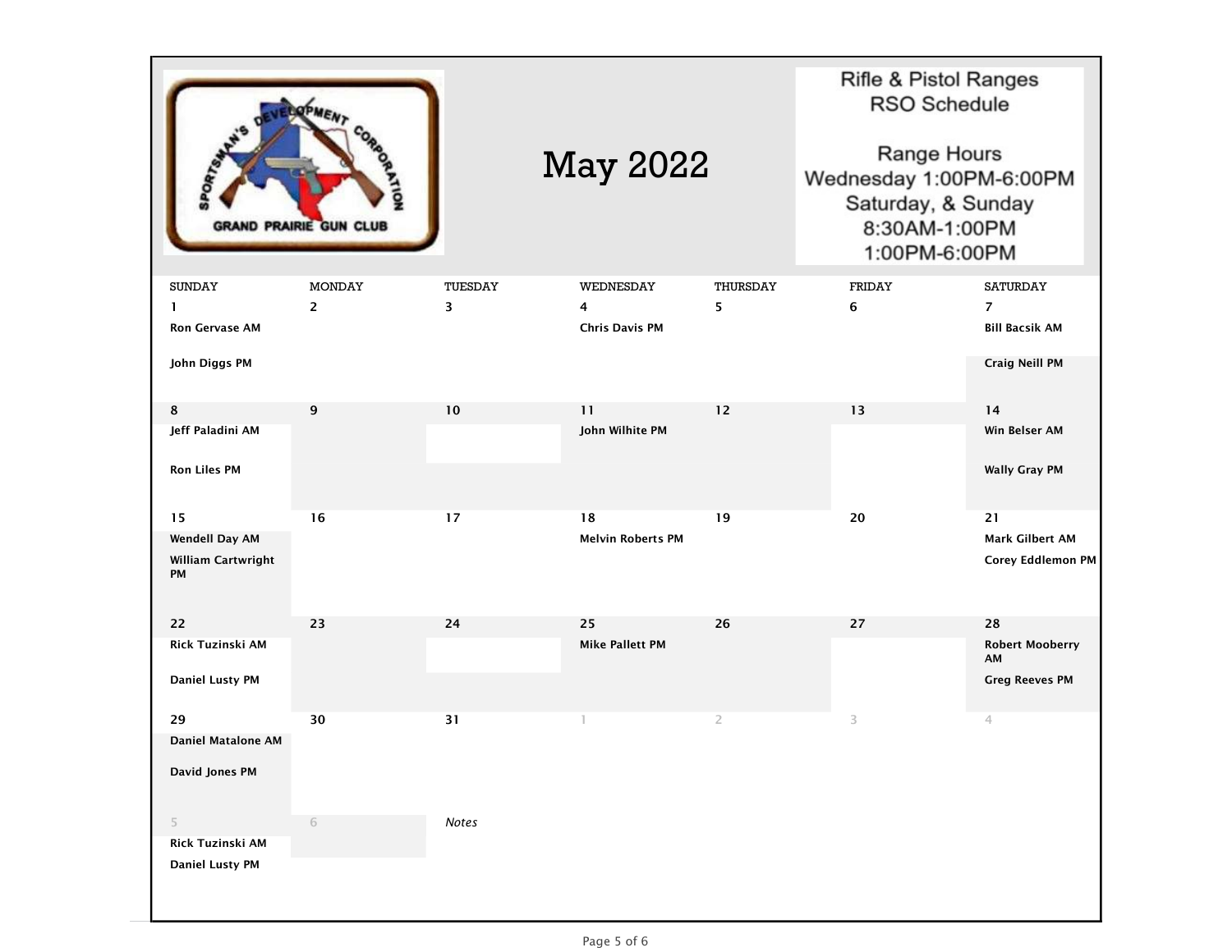|                           | <b>GRAND PRAIRIE GUN CLUB</b> |         | <b>May 2022</b>          |                | Rifle & Pistol Ranges<br><b>RSO Schedule</b><br>Range Hours<br>Wednesday 1:00PM-6:00PM<br>Saturday, & Sunday<br>8:30AM-1:00PM<br>1:00PM-6:00PM |                              |
|---------------------------|-------------------------------|---------|--------------------------|----------------|------------------------------------------------------------------------------------------------------------------------------------------------|------------------------------|
| <b>SUNDAY</b>             | <b>MONDAY</b>                 | TUESDAY | WEDNESDAY                | THURSDAY       | FRIDAY                                                                                                                                         | <b>SATURDAY</b>              |
| 1                         | $\overline{2}$                | 3       | 4                        | 5              | 6                                                                                                                                              | $\overline{7}$               |
| <b>Ron Gervase AM</b>     |                               |         | <b>Chris Davis PM</b>    |                |                                                                                                                                                | <b>Bill Bacsik AM</b>        |
| John Diggs PM             |                               |         |                          |                |                                                                                                                                                | Craig Neill PM               |
|                           |                               |         |                          |                |                                                                                                                                                |                              |
| 8                         | 9                             | 10      | 11                       | 12             | 13                                                                                                                                             | 14                           |
| Jeff Paladini AM          |                               |         | John Wilhite PM          |                |                                                                                                                                                | Win Belser AM                |
| <b>Ron Liles PM</b>       |                               |         |                          |                |                                                                                                                                                | <b>Wally Gray PM</b>         |
| 15                        | 16                            | 17      | 18                       | 19             | 20                                                                                                                                             | 21                           |
| Wendell Day AM            |                               |         | <b>Melvin Roberts PM</b> |                |                                                                                                                                                | <b>Mark Gilbert AM</b>       |
| William Cartwright<br>PM  |                               |         |                          |                |                                                                                                                                                | Corey Eddlemon PM            |
| 22                        | 23                            | 24      | 25                       | 26             | 27                                                                                                                                             | 28                           |
| Rick Tuzinski AM          |                               |         | <b>Mike Pallett PM</b>   |                |                                                                                                                                                | <b>Robert Mooberry</b><br>AM |
| <b>Daniel Lusty PM</b>    |                               |         |                          |                |                                                                                                                                                | <b>Greg Reeves PM</b>        |
| 29                        | 30                            | 31      | 1                        | $\overline{2}$ | 3                                                                                                                                              | 4                            |
| <b>Daniel Matalone AM</b> |                               |         |                          |                |                                                                                                                                                |                              |
| <b>David Jones PM</b>     |                               |         |                          |                |                                                                                                                                                |                              |
| 5                         | $\sqrt{6}$                    | Notes   |                          |                |                                                                                                                                                |                              |
| Rick Tuzinski AM          |                               |         |                          |                |                                                                                                                                                |                              |
| <b>Daniel Lusty PM</b>    |                               |         |                          |                |                                                                                                                                                |                              |
|                           |                               |         |                          |                |                                                                                                                                                |                              |